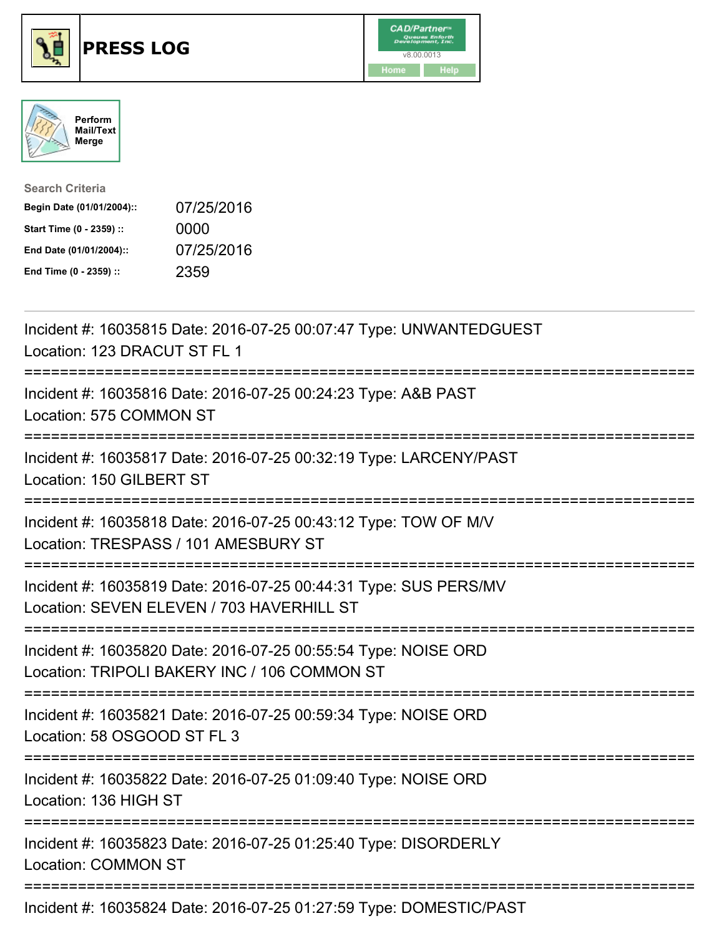





| <b>Search Criteria</b>    |            |
|---------------------------|------------|
| Begin Date (01/01/2004):: | 07/25/2016 |
| Start Time (0 - 2359) ::  | 0000       |
| End Date (01/01/2004)::   | 07/25/2016 |
| End Time (0 - 2359) ::    | 2359       |

| Incident #: 16035815 Date: 2016-07-25 00:07:47 Type: UNWANTEDGUEST<br>Location: 123 DRACUT ST FL 1                                             |
|------------------------------------------------------------------------------------------------------------------------------------------------|
| Incident #: 16035816 Date: 2016-07-25 00:24:23 Type: A&B PAST<br>Location: 575 COMMON ST                                                       |
| Incident #: 16035817 Date: 2016-07-25 00:32:19 Type: LARCENY/PAST<br>Location: 150 GILBERT ST                                                  |
| Incident #: 16035818 Date: 2016-07-25 00:43:12 Type: TOW OF M/V<br>Location: TRESPASS / 101 AMESBURY ST                                        |
| Incident #: 16035819 Date: 2016-07-25 00:44:31 Type: SUS PERS/MV<br>Location: SEVEN ELEVEN / 703 HAVERHILL ST                                  |
| Incident #: 16035820 Date: 2016-07-25 00:55:54 Type: NOISE ORD<br>Location: TRIPOLI BAKERY INC / 106 COMMON ST<br>============================ |
| Incident #: 16035821 Date: 2016-07-25 00:59:34 Type: NOISE ORD<br>Location: 58 OSGOOD ST FL 3                                                  |
| Incident #: 16035822 Date: 2016-07-25 01:09:40 Type: NOISE ORD<br>Location: 136 HIGH ST                                                        |
| Incident #: 16035823 Date: 2016-07-25 01:25:40 Type: DISORDERLY<br><b>Location: COMMON ST</b>                                                  |
| Incident #: 16035824 Date: 2016-07-25 01:27:59 Type: DOMESTIC/PAST                                                                             |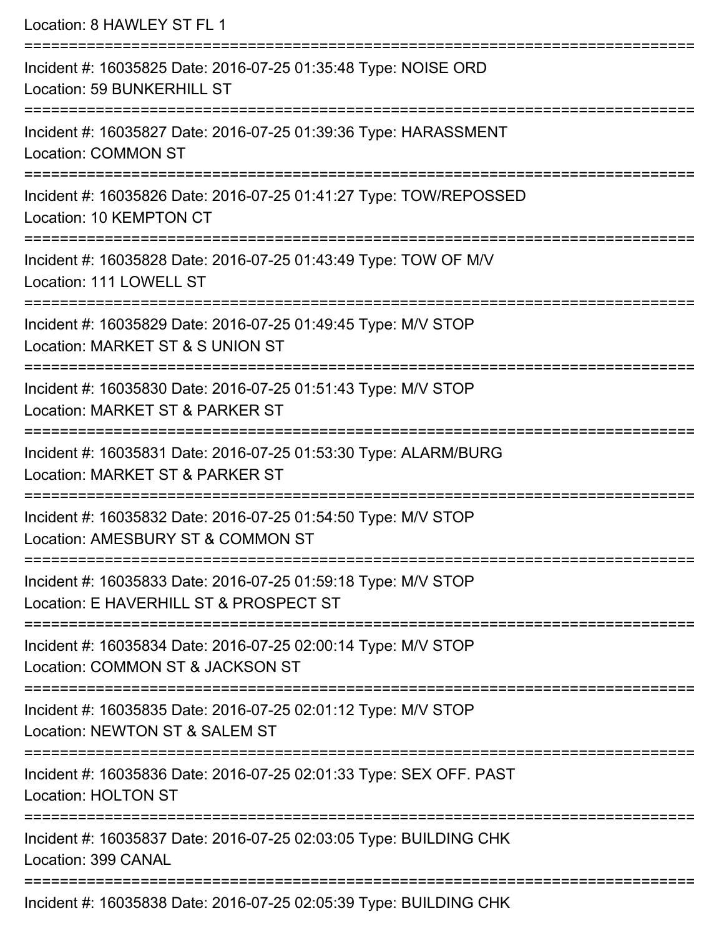| Location: 8 HAWLEY ST FL 1                                                                                                              |
|-----------------------------------------------------------------------------------------------------------------------------------------|
| Incident #: 16035825 Date: 2016-07-25 01:35:48 Type: NOISE ORD<br>Location: 59 BUNKERHILL ST                                            |
| Incident #: 16035827 Date: 2016-07-25 01:39:36 Type: HARASSMENT<br><b>Location: COMMON ST</b>                                           |
| Incident #: 16035826 Date: 2016-07-25 01:41:27 Type: TOW/REPOSSED<br>Location: 10 KEMPTON CT                                            |
| Incident #: 16035828 Date: 2016-07-25 01:43:49 Type: TOW OF M/V<br>Location: 111 LOWELL ST                                              |
| Incident #: 16035829 Date: 2016-07-25 01:49:45 Type: M/V STOP<br>Location: MARKET ST & S UNION ST<br>:================================= |
| Incident #: 16035830 Date: 2016-07-25 01:51:43 Type: M/V STOP<br>Location: MARKET ST & PARKER ST                                        |
| Incident #: 16035831 Date: 2016-07-25 01:53:30 Type: ALARM/BURG<br>Location: MARKET ST & PARKER ST                                      |
| Incident #: 16035832 Date: 2016-07-25 01:54:50 Type: M/V STOP<br>Location: AMESBURY ST & COMMON ST<br>-------------------------------   |
| Incident #: 16035833 Date: 2016-07-25 01:59:18 Type: M/V STOP<br>Location: E HAVERHILL ST & PROSPECT ST                                 |
| Incident #: 16035834 Date: 2016-07-25 02:00:14 Type: M/V STOP<br>Location: COMMON ST & JACKSON ST                                       |
| Incident #: 16035835 Date: 2016-07-25 02:01:12 Type: M/V STOP<br>Location: NEWTON ST & SALEM ST                                         |
| Incident #: 16035836 Date: 2016-07-25 02:01:33 Type: SEX OFF. PAST<br><b>Location: HOLTON ST</b>                                        |
| Incident #: 16035837 Date: 2016-07-25 02:03:05 Type: BUILDING CHK<br>Location: 399 CANAL                                                |
| Incident #: 16035838 Date: 2016-07-25 02:05:39 Type: BUILDING CHK                                                                       |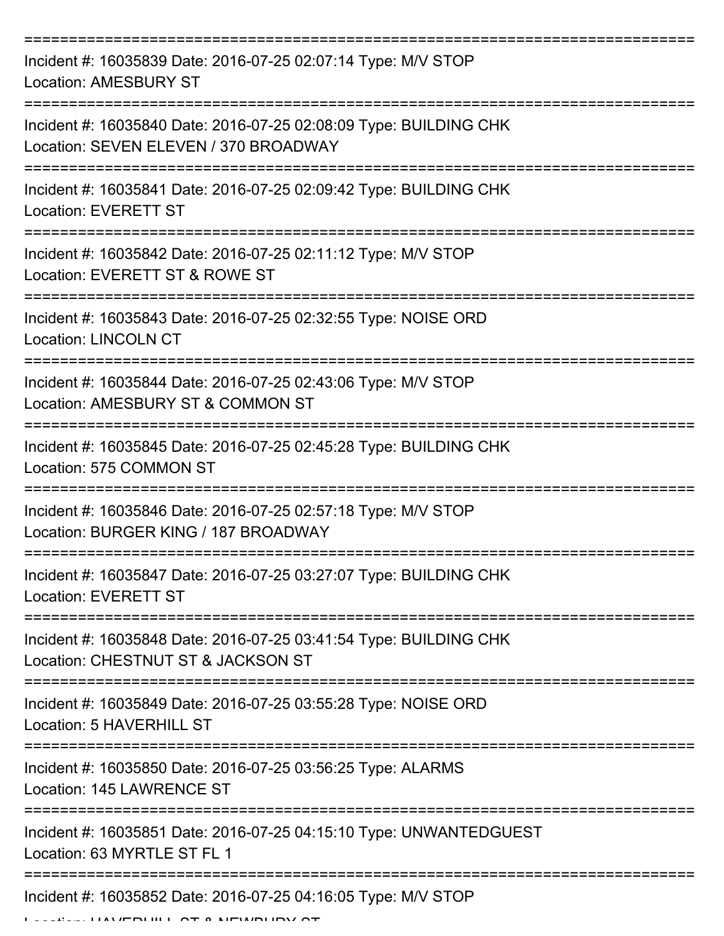| Incident #: 16035839 Date: 2016-07-25 02:07:14 Type: M/V STOP<br><b>Location: AMESBURY ST</b>              |
|------------------------------------------------------------------------------------------------------------|
| Incident #: 16035840 Date: 2016-07-25 02:08:09 Type: BUILDING CHK<br>Location: SEVEN ELEVEN / 370 BROADWAY |
| Incident #: 16035841 Date: 2016-07-25 02:09:42 Type: BUILDING CHK<br><b>Location: EVERETT ST</b>           |
| Incident #: 16035842 Date: 2016-07-25 02:11:12 Type: M/V STOP<br>Location: EVERETT ST & ROWE ST            |
| Incident #: 16035843 Date: 2016-07-25 02:32:55 Type: NOISE ORD<br><b>Location: LINCOLN CT</b>              |
| Incident #: 16035844 Date: 2016-07-25 02:43:06 Type: M/V STOP<br>Location: AMESBURY ST & COMMON ST         |
| Incident #: 16035845 Date: 2016-07-25 02:45:28 Type: BUILDING CHK<br>Location: 575 COMMON ST               |
| Incident #: 16035846 Date: 2016-07-25 02:57:18 Type: M/V STOP<br>Location: BURGER KING / 187 BROADWAY      |
| Incident #: 16035847 Date: 2016-07-25 03:27:07 Type: BUILDING CHK<br><b>Location: EVERETT ST</b>           |
| Incident #: 16035848 Date: 2016-07-25 03:41:54 Type: BUILDING CHK<br>Location: CHESTNUT ST & JACKSON ST    |
| Incident #: 16035849 Date: 2016-07-25 03:55:28 Type: NOISE ORD<br>Location: 5 HAVERHILL ST                 |
| Incident #: 16035850 Date: 2016-07-25 03:56:25 Type: ALARMS<br>Location: 145 LAWRENCE ST                   |
| Incident #: 16035851 Date: 2016-07-25 04:15:10 Type: UNWANTEDGUEST<br>Location: 63 MYRTLE ST FL 1          |
| Incident #: 16035852 Date: 2016-07-25 04:16:05 Type: M/V STOP                                              |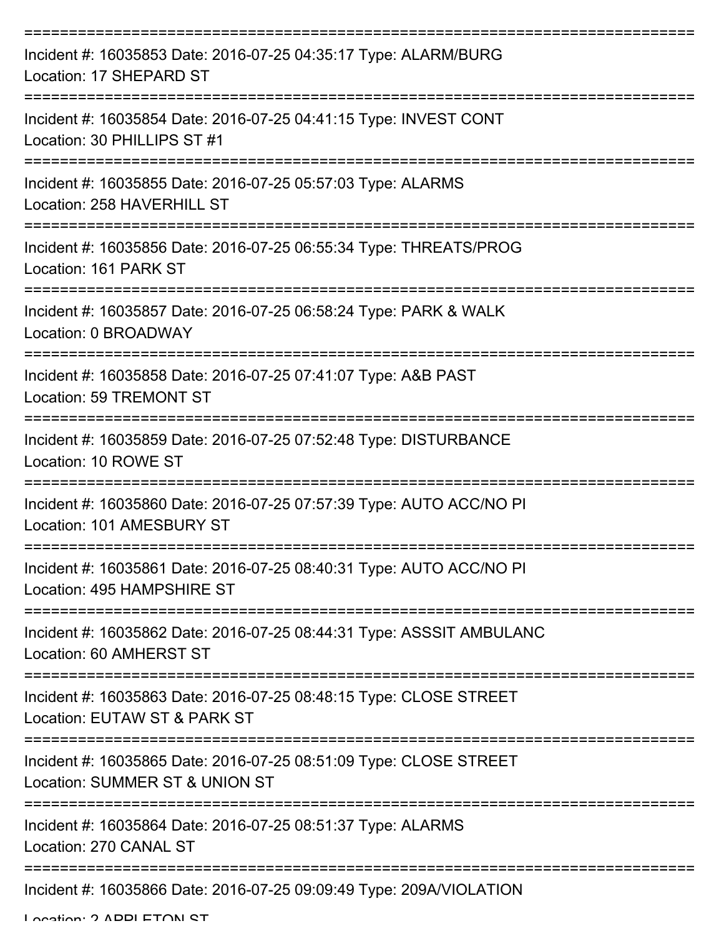| Incident #: 16035853 Date: 2016-07-25 04:35:17 Type: ALARM/BURG<br>Location: 17 SHEPARD ST          |
|-----------------------------------------------------------------------------------------------------|
| Incident #: 16035854 Date: 2016-07-25 04:41:15 Type: INVEST CONT<br>Location: 30 PHILLIPS ST #1     |
| Incident #: 16035855 Date: 2016-07-25 05:57:03 Type: ALARMS<br>Location: 258 HAVERHILL ST           |
| Incident #: 16035856 Date: 2016-07-25 06:55:34 Type: THREATS/PROG<br>Location: 161 PARK ST          |
| Incident #: 16035857 Date: 2016-07-25 06:58:24 Type: PARK & WALK<br>Location: 0 BROADWAY            |
| Incident #: 16035858 Date: 2016-07-25 07:41:07 Type: A&B PAST<br>Location: 59 TREMONT ST            |
| Incident #: 16035859 Date: 2016-07-25 07:52:48 Type: DISTURBANCE<br>Location: 10 ROWE ST            |
| Incident #: 16035860 Date: 2016-07-25 07:57:39 Type: AUTO ACC/NO PI<br>Location: 101 AMESBURY ST    |
| Incident #: 16035861 Date: 2016-07-25 08:40:31 Type: AUTO ACC/NO PI<br>Location: 495 HAMPSHIRE ST   |
| Incident #: 16035862 Date: 2016-07-25 08:44:31 Type: ASSSIT AMBULANC<br>Location: 60 AMHERST ST     |
| Incident #: 16035863 Date: 2016-07-25 08:48:15 Type: CLOSE STREET<br>Location: EUTAW ST & PARK ST   |
| Incident #: 16035865 Date: 2016-07-25 08:51:09 Type: CLOSE STREET<br>Location: SUMMER ST & UNION ST |
| Incident #: 16035864 Date: 2016-07-25 08:51:37 Type: ALARMS<br>Location: 270 CANAL ST               |
| Incident #: 16035866 Date: 2016-07-25 09:09:49 Type: 209A/VIOLATION                                 |

Location: 2 ADDI ETONI ST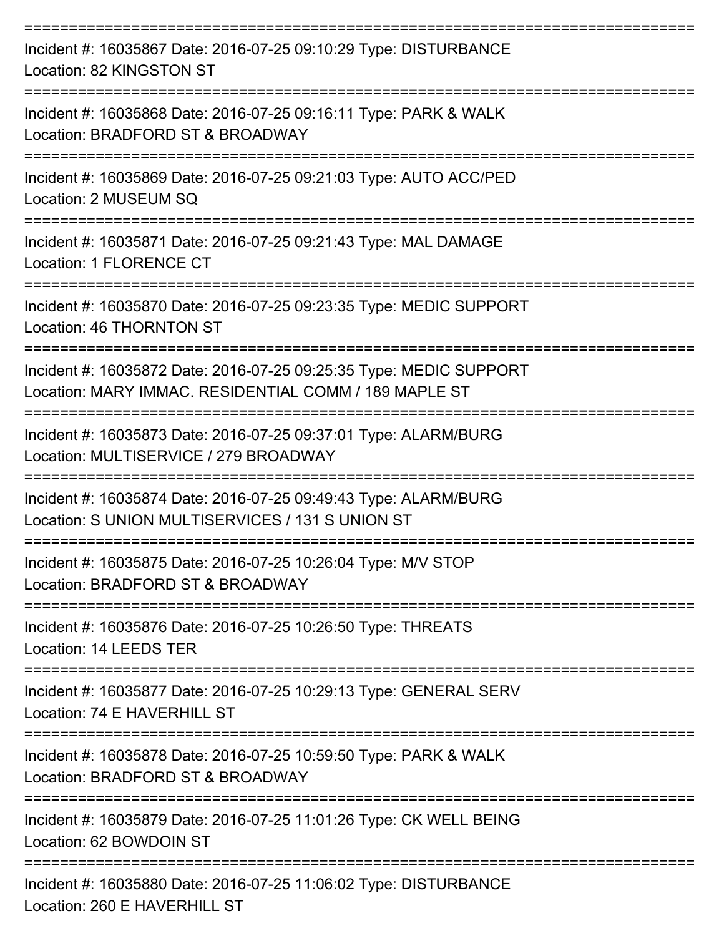| Incident #: 16035867 Date: 2016-07-25 09:10:29 Type: DISTURBANCE<br>Location: 82 KINGSTON ST                                |
|-----------------------------------------------------------------------------------------------------------------------------|
| Incident #: 16035868 Date: 2016-07-25 09:16:11 Type: PARK & WALK<br>Location: BRADFORD ST & BROADWAY                        |
| Incident #: 16035869 Date: 2016-07-25 09:21:03 Type: AUTO ACC/PED<br>Location: 2 MUSEUM SQ                                  |
| Incident #: 16035871 Date: 2016-07-25 09:21:43 Type: MAL DAMAGE<br>Location: 1 FLORENCE CT<br>-------------------           |
| Incident #: 16035870 Date: 2016-07-25 09:23:35 Type: MEDIC SUPPORT<br>Location: 46 THORNTON ST                              |
| Incident #: 16035872 Date: 2016-07-25 09:25:35 Type: MEDIC SUPPORT<br>Location: MARY IMMAC, RESIDENTIAL COMM / 189 MAPLE ST |
| Incident #: 16035873 Date: 2016-07-25 09:37:01 Type: ALARM/BURG<br>Location: MULTISERVICE / 279 BROADWAY                    |
| Incident #: 16035874 Date: 2016-07-25 09:49:43 Type: ALARM/BURG<br>Location: S UNION MULTISERVICES / 131 S UNION ST         |
| Incident #: 16035875 Date: 2016-07-25 10:26:04 Type: M/V STOP<br>Location: BRADFORD ST & BROADWAY                           |
| Incident #: 16035876 Date: 2016-07-25 10:26:50 Type: THREATS<br>Location: 14 LEEDS TER                                      |
| Incident #: 16035877 Date: 2016-07-25 10:29:13 Type: GENERAL SERV<br>Location: 74 E HAVERHILL ST                            |
| Incident #: 16035878 Date: 2016-07-25 10:59:50 Type: PARK & WALK<br>Location: BRADFORD ST & BROADWAY                        |
| Incident #: 16035879 Date: 2016-07-25 11:01:26 Type: CK WELL BEING<br>Location: 62 BOWDOIN ST                               |
| Incident #: 16035880 Date: 2016-07-25 11:06:02 Type: DISTURBANCE<br>Location: 260 E HAVERHILL ST                            |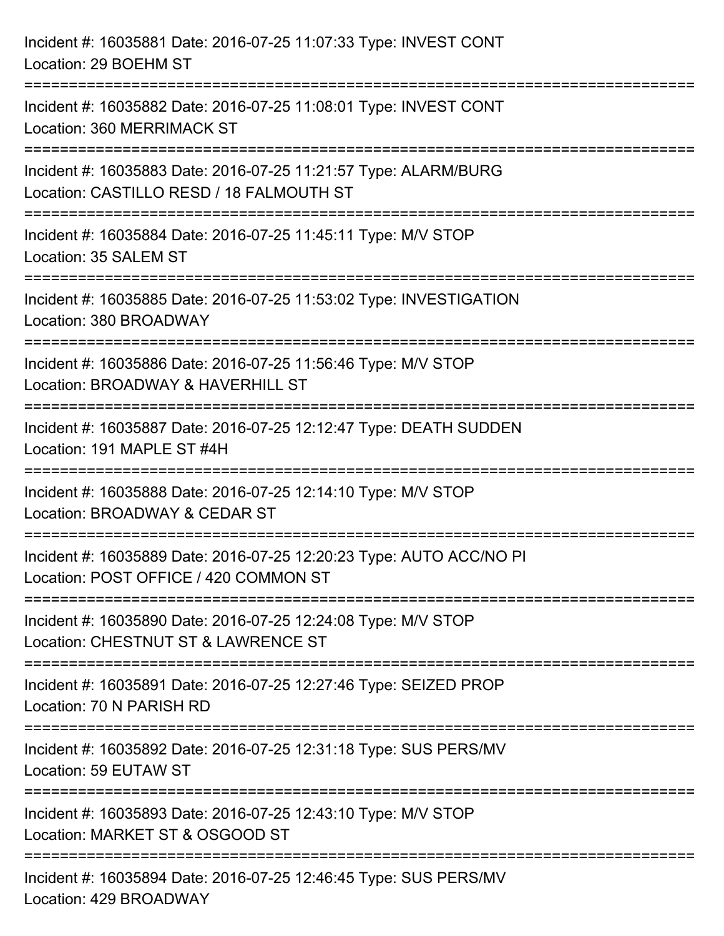| Incident #: 16035881 Date: 2016-07-25 11:07:33 Type: INVEST CONT<br>Location: 29 BOEHM ST                                                                                               |
|-----------------------------------------------------------------------------------------------------------------------------------------------------------------------------------------|
| Incident #: 16035882 Date: 2016-07-25 11:08:01 Type: INVEST CONT<br>Location: 360 MERRIMACK ST                                                                                          |
| Incident #: 16035883 Date: 2016-07-25 11:21:57 Type: ALARM/BURG<br>Location: CASTILLO RESD / 18 FALMOUTH ST<br>:===================================<br>-------------------------------- |
| Incident #: 16035884 Date: 2016-07-25 11:45:11 Type: M/V STOP<br>Location: 35 SALEM ST                                                                                                  |
| Incident #: 16035885 Date: 2016-07-25 11:53:02 Type: INVESTIGATION<br>Location: 380 BROADWAY                                                                                            |
| Incident #: 16035886 Date: 2016-07-25 11:56:46 Type: M/V STOP<br>Location: BROADWAY & HAVERHILL ST                                                                                      |
| Incident #: 16035887 Date: 2016-07-25 12:12:47 Type: DEATH SUDDEN<br>Location: 191 MAPLE ST #4H                                                                                         |
| Incident #: 16035888 Date: 2016-07-25 12:14:10 Type: M/V STOP<br>Location: BROADWAY & CEDAR ST                                                                                          |
| Incident #: 16035889 Date: 2016-07-25 12:20:23 Type: AUTO ACC/NO PI<br>Location: POST OFFICE / 420 COMMON ST                                                                            |
| Incident #: 16035890 Date: 2016-07-25 12:24:08 Type: M/V STOP<br>Location: CHESTNUT ST & LAWRENCE ST                                                                                    |
| Incident #: 16035891 Date: 2016-07-25 12:27:46 Type: SEIZED PROP<br>Location: 70 N PARISH RD                                                                                            |
| Incident #: 16035892 Date: 2016-07-25 12:31:18 Type: SUS PERS/MV<br>Location: 59 EUTAW ST                                                                                               |
| Incident #: 16035893 Date: 2016-07-25 12:43:10 Type: M/V STOP<br>Location: MARKET ST & OSGOOD ST                                                                                        |
| Incident #: 16035894 Date: 2016-07-25 12:46:45 Type: SUS PERS/MV<br>Location: 429 BROADWAY                                                                                              |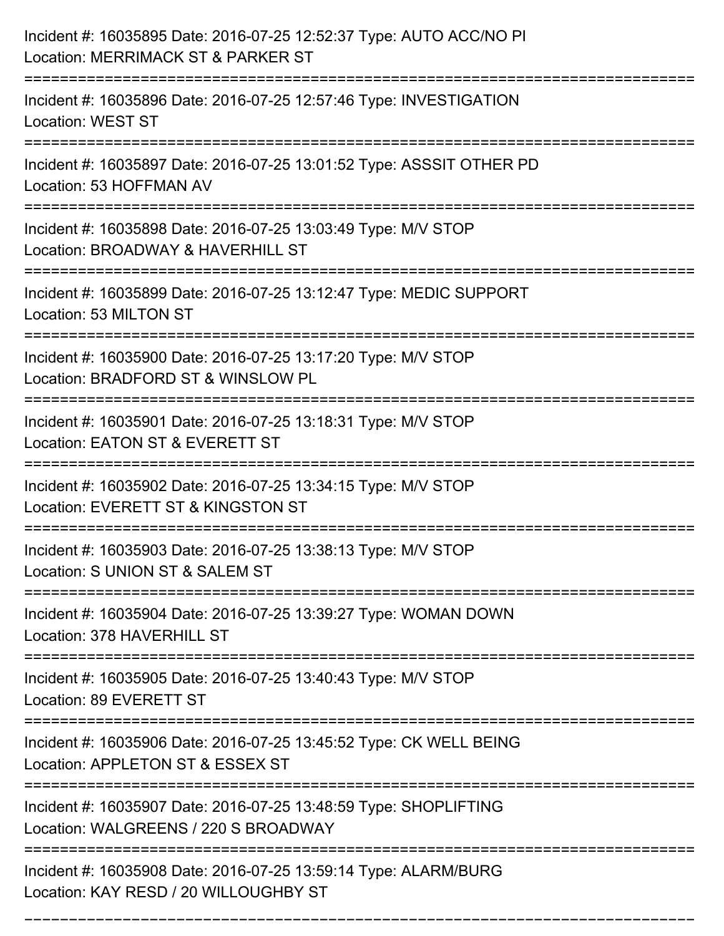| Incident #: 16035895 Date: 2016-07-25 12:52:37 Type: AUTO ACC/NO PI<br>Location: MERRIMACK ST & PARKER ST |
|-----------------------------------------------------------------------------------------------------------|
| Incident #: 16035896 Date: 2016-07-25 12:57:46 Type: INVESTIGATION<br><b>Location: WEST ST</b>            |
| Incident #: 16035897 Date: 2016-07-25 13:01:52 Type: ASSSIT OTHER PD<br>Location: 53 HOFFMAN AV           |
| Incident #: 16035898 Date: 2016-07-25 13:03:49 Type: M/V STOP<br>Location: BROADWAY & HAVERHILL ST        |
| Incident #: 16035899 Date: 2016-07-25 13:12:47 Type: MEDIC SUPPORT<br>Location: 53 MILTON ST              |
| Incident #: 16035900 Date: 2016-07-25 13:17:20 Type: M/V STOP<br>Location: BRADFORD ST & WINSLOW PL       |
| Incident #: 16035901 Date: 2016-07-25 13:18:31 Type: M/V STOP<br>Location: EATON ST & EVERETT ST          |
| Incident #: 16035902 Date: 2016-07-25 13:34:15 Type: M/V STOP<br>Location: EVERETT ST & KINGSTON ST       |
| Incident #: 16035903 Date: 2016-07-25 13:38:13 Type: M/V STOP<br>Location: S UNION ST & SALEM ST          |
| Incident #: 16035904 Date: 2016-07-25 13:39:27 Type: WOMAN DOWN<br>Location: 378 HAVERHILL ST             |
| Incident #: 16035905 Date: 2016-07-25 13:40:43 Type: M/V STOP<br>Location: 89 EVERETT ST                  |
| Incident #: 16035906 Date: 2016-07-25 13:45:52 Type: CK WELL BEING<br>Location: APPLETON ST & ESSEX ST    |
| Incident #: 16035907 Date: 2016-07-25 13:48:59 Type: SHOPLIFTING<br>Location: WALGREENS / 220 S BROADWAY  |
| Incident #: 16035908 Date: 2016-07-25 13:59:14 Type: ALARM/BURG<br>Location: KAY RESD / 20 WILLOUGHBY ST  |

===========================================================================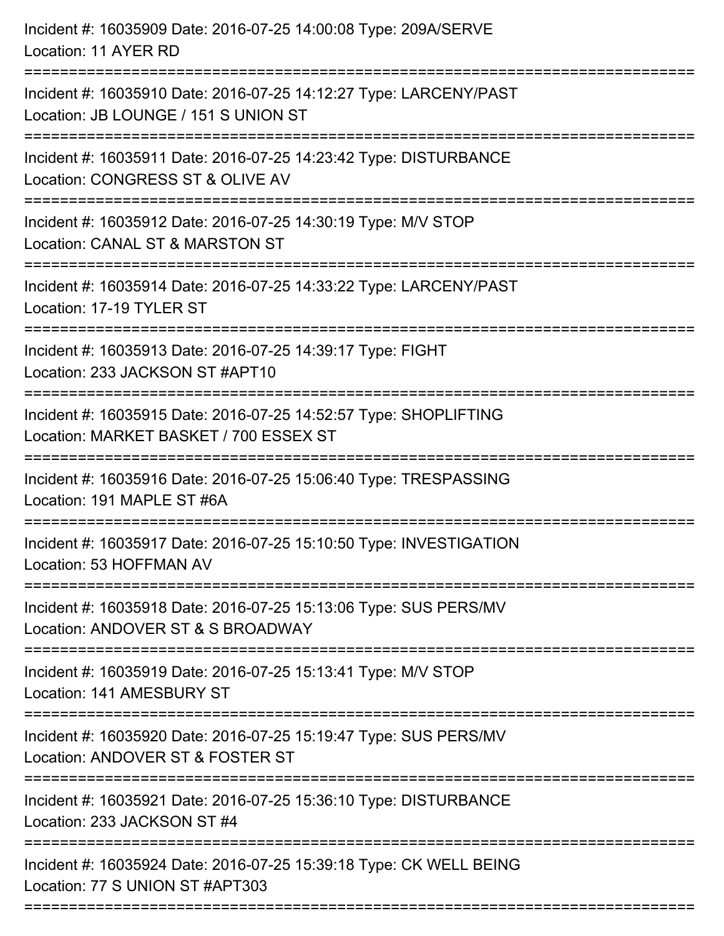| Incident #: 16035909 Date: 2016-07-25 14:00:08 Type: 209A/SERVE<br>Location: 11 AYER RD                                               |
|---------------------------------------------------------------------------------------------------------------------------------------|
| Incident #: 16035910 Date: 2016-07-25 14:12:27 Type: LARCENY/PAST<br>Location: JB LOUNGE / 151 S UNION ST                             |
| Incident #: 16035911 Date: 2016-07-25 14:23:42 Type: DISTURBANCE<br>Location: CONGRESS ST & OLIVE AV<br>:============================ |
| Incident #: 16035912 Date: 2016-07-25 14:30:19 Type: M/V STOP<br>Location: CANAL ST & MARSTON ST                                      |
| Incident #: 16035914 Date: 2016-07-25 14:33:22 Type: LARCENY/PAST<br>Location: 17-19 TYLER ST                                         |
| Incident #: 16035913 Date: 2016-07-25 14:39:17 Type: FIGHT<br>Location: 233 JACKSON ST #APT10                                         |
| Incident #: 16035915 Date: 2016-07-25 14:52:57 Type: SHOPLIFTING<br>Location: MARKET BASKET / 700 ESSEX ST<br>================        |
| Incident #: 16035916 Date: 2016-07-25 15:06:40 Type: TRESPASSING<br>Location: 191 MAPLE ST #6A                                        |
| Incident #: 16035917 Date: 2016-07-25 15:10:50 Type: INVESTIGATION<br>Location: 53 HOFFMAN AV                                         |
| Incident #: 16035918 Date: 2016-07-25 15:13:06 Type: SUS PERS/MV<br>Location: ANDOVER ST & S BROADWAY                                 |
| Incident #: 16035919 Date: 2016-07-25 15:13:41 Type: M/V STOP<br>Location: 141 AMESBURY ST                                            |
| Incident #: 16035920 Date: 2016-07-25 15:19:47 Type: SUS PERS/MV<br>Location: ANDOVER ST & FOSTER ST                                  |
| Incident #: 16035921 Date: 2016-07-25 15:36:10 Type: DISTURBANCE<br>Location: 233 JACKSON ST #4                                       |
| Incident #: 16035924 Date: 2016-07-25 15:39:18 Type: CK WELL BEING<br>Location: 77 S UNION ST #APT303                                 |
|                                                                                                                                       |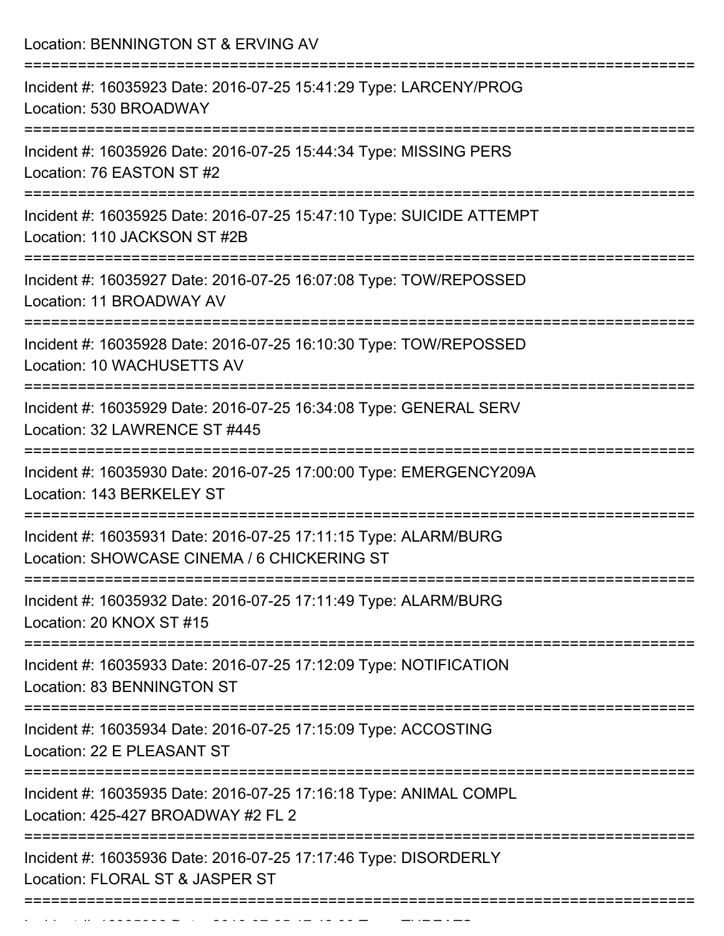Location: BENNINGTON ST & ERVING AV =========================================================================== Incident #: 16035923 Date: 2016-07-25 15:41:29 Type: LARCENY/PROG Location: 530 BROADWAY =========================================================================== Incident #: 16035926 Date: 2016-07-25 15:44:34 Type: MISSING PERS Location: 76 EASTON ST #2 =========================================================================== Incident #: 16035925 Date: 2016-07-25 15:47:10 Type: SUICIDE ATTEMPT Location: 110 JACKSON ST #2B =========================================================================== Incident #: 16035927 Date: 2016-07-25 16:07:08 Type: TOW/REPOSSED Location: 11 BROADWAY AV =========================================================================== Incident #: 16035928 Date: 2016-07-25 16:10:30 Type: TOW/REPOSSED Location: 10 WACHUSETTS AV =========================================================================== Incident #: 16035929 Date: 2016-07-25 16:34:08 Type: GENERAL SERV Location: 32 LAWRENCE ST #445 =========================================================================== Incident #: 16035930 Date: 2016-07-25 17:00:00 Type: EMERGENCY209A Location: 143 BERKELEY ST =========================================================================== Incident #: 16035931 Date: 2016-07-25 17:11:15 Type: ALARM/BURG Location: SHOWCASE CINEMA / 6 CHICKERING ST =========================================================================== Incident #: 16035932 Date: 2016-07-25 17:11:49 Type: ALARM/BURG Location: 20 KNOX ST #15 =========================================================================== Incident #: 16035933 Date: 2016-07-25 17:12:09 Type: NOTIFICATION Location: 83 BENNINGTON ST =========================================================================== Incident #: 16035934 Date: 2016-07-25 17:15:09 Type: ACCOSTING Location: 22 F PLEASANT ST =========================================================================== Incident #: 16035935 Date: 2016-07-25 17:16:18 Type: ANIMAL COMPL Location: 425-427 BROADWAY #2 FL 2 =========================================================================== Incident #: 16035936 Date: 2016-07-25 17:17:46 Type: DISORDERLY Location: FLORAL ST & JASPER ST ===========================================================================

Incident #: 16035938 Date: 2016 07 25 17:42:00 Type: THREATS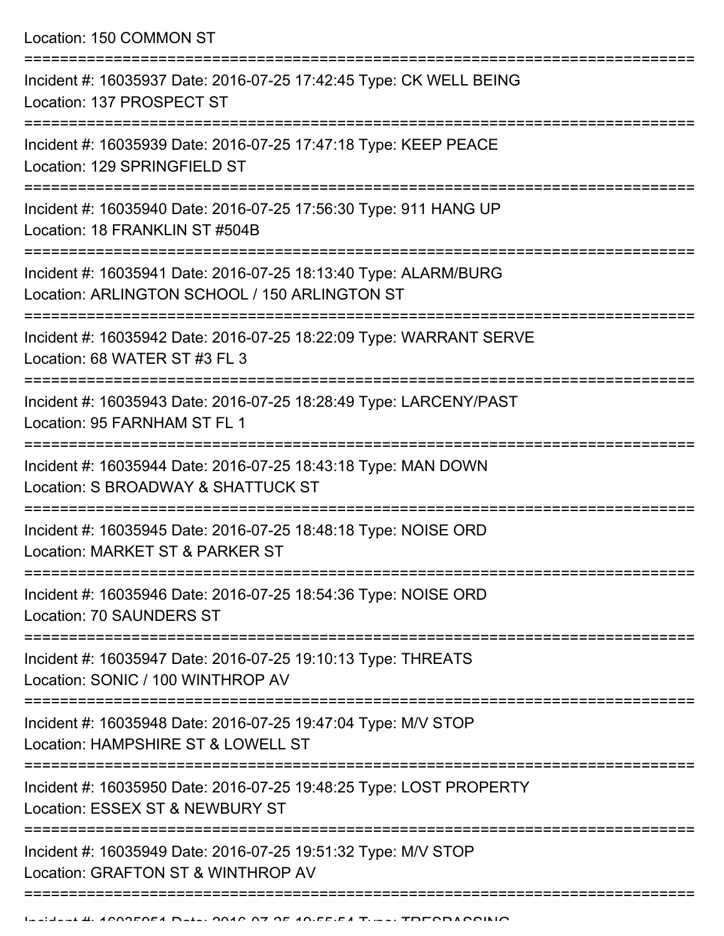Location: 150 COMMON ST =========================================================================== Incident #: 16035937 Date: 2016-07-25 17:42:45 Type: CK WELL BEING Location: 137 PROSPECT ST =========================================================================== Incident #: 16035939 Date: 2016-07-25 17:47:18 Type: KEEP PEACE Location: 129 SPRINGFIELD ST =========================================================================== Incident #: 16035940 Date: 2016-07-25 17:56:30 Type: 911 HANG UP Location: 18 FRANKLIN ST #504B =========================================================================== Incident #: 16035941 Date: 2016-07-25 18:13:40 Type: ALARM/BURG Location: ARLINGTON SCHOOL / 150 ARLINGTON ST =========================================================================== Incident #: 16035942 Date: 2016-07-25 18:22:09 Type: WARRANT SERVE Location: 68 WATER ST #3 FL 3 =========================================================================== Incident #: 16035943 Date: 2016-07-25 18:28:49 Type: LARCENY/PAST Location: 95 FARNHAM ST FL 1 =========================================================================== Incident #: 16035944 Date: 2016-07-25 18:43:18 Type: MAN DOWN Location: S BROADWAY & SHATTUCK ST =========================================================================== Incident #: 16035945 Date: 2016-07-25 18:48:18 Type: NOISE ORD Location: MARKET ST & PARKER ST =========================================================================== Incident #: 16035946 Date: 2016-07-25 18:54:36 Type: NOISE ORD Location: 70 SAUNDERS ST =========================================================================== Incident #: 16035947 Date: 2016-07-25 19:10:13 Type: THREATS Location: SONIC / 100 WINTHROP AV =========================================================================== Incident #: 16035948 Date: 2016-07-25 19:47:04 Type: M/V STOP Location: HAMPSHIRE ST & LOWELL ST =========================================================================== Incident #: 16035950 Date: 2016-07-25 19:48:25 Type: LOST PROPERTY Location: ESSEX ST & NEWBURY ST ===========================================================================

Incident #: 16035949 Date: 2016-07-25 19:51:32 Type: M/V STOP Location: GRAFTON ST & WINTHROP AV

===========================================================================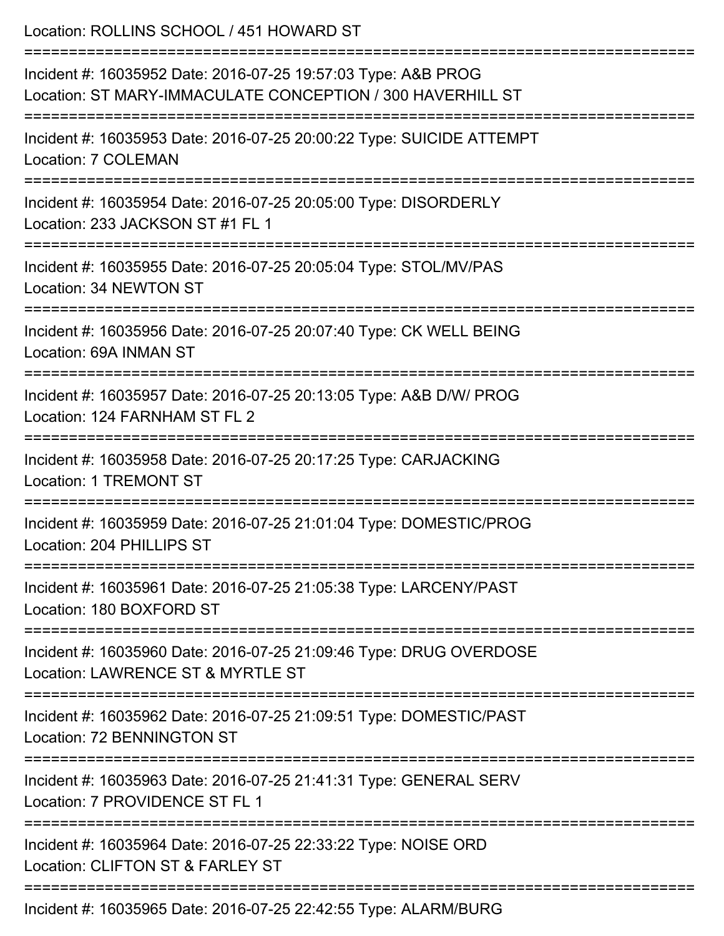| Location: ROLLINS SCHOOL / 451 HOWARD ST<br>============================                                                    |
|-----------------------------------------------------------------------------------------------------------------------------|
| Incident #: 16035952 Date: 2016-07-25 19:57:03 Type: A&B PROG<br>Location: ST MARY-IMMACULATE CONCEPTION / 300 HAVERHILL ST |
| Incident #: 16035953 Date: 2016-07-25 20:00:22 Type: SUICIDE ATTEMPT<br>Location: 7 COLEMAN                                 |
| Incident #: 16035954 Date: 2016-07-25 20:05:00 Type: DISORDERLY<br>Location: 233 JACKSON ST #1 FL 1                         |
| =====================<br>Incident #: 16035955 Date: 2016-07-25 20:05:04 Type: STOL/MV/PAS<br>Location: 34 NEWTON ST         |
| Incident #: 16035956 Date: 2016-07-25 20:07:40 Type: CK WELL BEING<br>Location: 69A INMAN ST                                |
| Incident #: 16035957 Date: 2016-07-25 20:13:05 Type: A&B D/W/ PROG<br>Location: 124 FARNHAM ST FL 2                         |
| Incident #: 16035958 Date: 2016-07-25 20:17:25 Type: CARJACKING<br><b>Location: 1 TREMONT ST</b>                            |
| Incident #: 16035959 Date: 2016-07-25 21:01:04 Type: DOMESTIC/PROG<br>Location: 204 PHILLIPS ST                             |
| Incident #: 16035961 Date: 2016-07-25 21:05:38 Type: LARCENY/PAST<br>Location: 180 BOXFORD ST                               |
| Incident #: 16035960 Date: 2016-07-25 21:09:46 Type: DRUG OVERDOSE<br>Location: LAWRENCE ST & MYRTLE ST                     |
| Incident #: 16035962 Date: 2016-07-25 21:09:51 Type: DOMESTIC/PAST<br>Location: 72 BENNINGTON ST                            |
| Incident #: 16035963 Date: 2016-07-25 21:41:31 Type: GENERAL SERV<br>Location: 7 PROVIDENCE ST FL 1                         |
| Incident #: 16035964 Date: 2016-07-25 22:33:22 Type: NOISE ORD<br>Location: CLIFTON ST & FARLEY ST                          |
| Incident #: 16035965 Date: 2016-07-25 22:42:55 Type: ALARM/BURG                                                             |